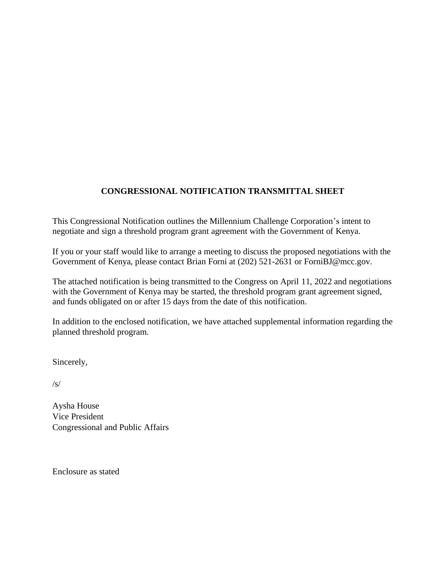# **CONGRESSIONAL NOTIFICATION TRANSMITTAL SHEET**

This Congressional Notification outlines the Millennium Challenge Corporation's intent to negotiate and sign a threshold program grant agreement with the Government of Kenya.

If you or your staff would like to arrange a meeting to discuss the proposed negotiations with the Government of Kenya, please contact Brian Forni at (202) 521-2631 or ForniBJ@mcc.gov.

The attached notification is being transmitted to the Congress on April 11, 2022 and negotiations with the Government of Kenya may be started, the threshold program grant agreement signed, and funds obligated on or after 15 days from the date of this notification.

In addition to the enclosed notification, we have attached supplemental information regarding the planned threshold program.

Sincerely,

/s/

Aysha House Vice President Congressional and Public Affairs

Enclosure as stated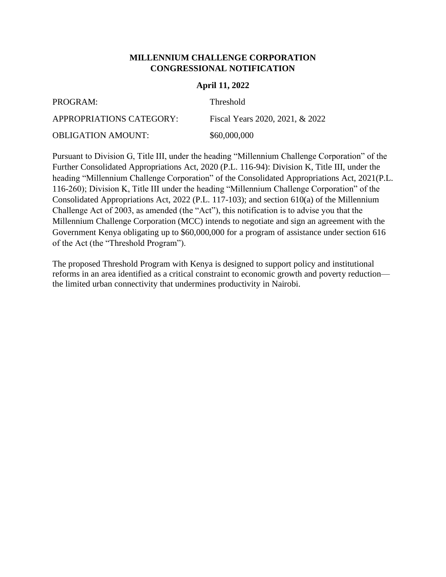#### **MILLENNIUM CHALLENGE CORPORATION CONGRESSIONAL NOTIFICATION**

#### **April 11, 2022**

| PROGRAM:                  | <b>Threshold</b>                |
|---------------------------|---------------------------------|
| APPROPRIATIONS CATEGORY:  | Fiscal Years 2020, 2021, & 2022 |
| <b>OBLIGATION AMOUNT:</b> | \$60,000,000                    |

Pursuant to Division G, Title III, under the heading "Millennium Challenge Corporation" of the Further Consolidated Appropriations Act, 2020 (P.L. 116-94): Division K, Title III, under the heading "Millennium Challenge Corporation" of the Consolidated Appropriations Act, 2021(P.L. 116-260); Division K, Title III under the heading "Millennium Challenge Corporation" of the Consolidated Appropriations Act, 2022 (P.L. 117-103); and section 610(a) of the Millennium Challenge Act of 2003, as amended (the "Act"), this notification is to advise you that the Millennium Challenge Corporation (MCC) intends to negotiate and sign an agreement with the Government Kenya obligating up to \$60,000,000 for a program of assistance under section 616 of the Act (the "Threshold Program").

The proposed Threshold Program with Kenya is designed to support policy and institutional reforms in an area identified as a critical constraint to economic growth and poverty reduction the limited urban connectivity that undermines productivity in Nairobi.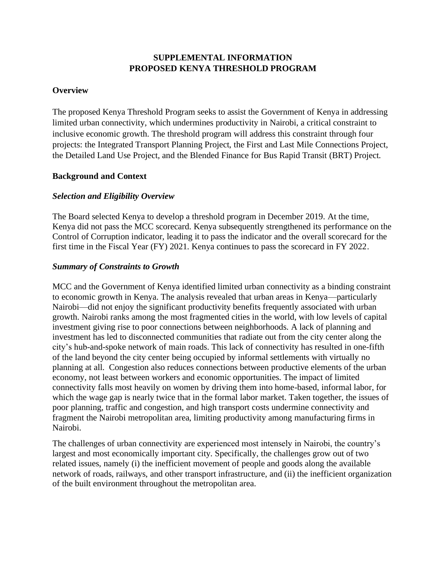## **SUPPLEMENTAL INFORMATION PROPOSED KENYA THRESHOLD PROGRAM**

#### **Overview**

The proposed Kenya Threshold Program seeks to assist the Government of Kenya in addressing limited urban connectivity, which undermines productivity in Nairobi, a critical constraint to inclusive economic growth. The threshold program will address this constraint through four projects: the Integrated Transport Planning Project, the First and Last Mile Connections Project, the Detailed Land Use Project, and the Blended Finance for Bus Rapid Transit (BRT) Project.

#### **Background and Context**

#### *Selection and Eligibility Overview*

The Board selected Kenya to develop a threshold program in December 2019. At the time, Kenya did not pass the MCC scorecard. Kenya subsequently strengthened its performance on the Control of Corruption indicator, leading it to pass the indicator and the overall scorecard for the first time in the Fiscal Year (FY) 2021. Kenya continues to pass the scorecard in FY 2022.

#### *Summary of Constraints to Growth*

MCC and the Government of Kenya identified limited urban connectivity as a binding constraint to economic growth in Kenya. The analysis revealed that urban areas in Kenya—particularly Nairobi—did not enjoy the significant productivity benefits frequently associated with urban growth. Nairobi ranks among the most fragmented cities in the world, with low levels of capital investment giving rise to poor connections between neighborhoods. A lack of planning and investment has led to disconnected communities that radiate out from the city center along the city's hub-and-spoke network of main roads. This lack of connectivity has resulted in one-fifth of the land beyond the city center being occupied by informal settlements with virtually no planning at all. Congestion also reduces connections between productive elements of the urban economy, not least between workers and economic opportunities. The impact of limited connectivity falls most heavily on women by driving them into home-based, informal labor, for which the wage gap is nearly twice that in the formal labor market. Taken together, the issues of poor planning, traffic and congestion, and high transport costs undermine connectivity and fragment the Nairobi metropolitan area, limiting productivity among manufacturing firms in Nairobi.

The challenges of urban connectivity are experienced most intensely in Nairobi, the country's largest and most economically important city. Specifically, the challenges grow out of two related issues, namely (i) the inefficient movement of people and goods along the available network of roads, railways, and other transport infrastructure, and (ii) the inefficient organization of the built environment throughout the metropolitan area.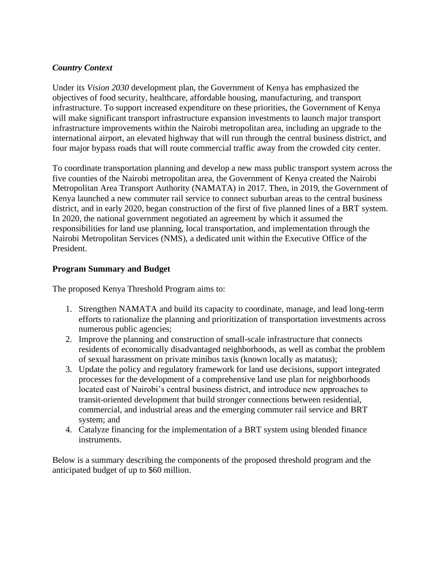### *Country Context*

Under its *Vision 2030* development plan*,* the Government of Kenya has emphasized the objectives of food security, healthcare, affordable housing, manufacturing, and transport infrastructure. To support increased expenditure on these priorities, the Government of Kenya will make significant transport infrastructure expansion investments to launch major transport infrastructure improvements within the Nairobi metropolitan area, including an upgrade to the international airport, an elevated highway that will run through the central business district, and four major bypass roads that will route commercial traffic away from the crowded city center.

To coordinate transportation planning and develop a new mass public transport system across the five counties of the Nairobi metropolitan area, the Government of Kenya created the Nairobi Metropolitan Area Transport Authority (NAMATA) in 2017. Then, in 2019, the Government of Kenya launched a new commuter rail service to connect suburban areas to the central business district, and in early 2020, began construction of the first of five planned lines of a BRT system. In 2020, the national government negotiated an agreement by which it assumed the responsibilities for land use planning, local transportation, and implementation through the Nairobi Metropolitan Services (NMS), a dedicated unit within the Executive Office of the President.

### **Program Summary and Budget**

The proposed Kenya Threshold Program aims to:

- 1. Strengthen NAMATA and build its capacity to coordinate, manage, and lead long-term efforts to rationalize the planning and prioritization of transportation investments across numerous public agencies;
- 2. Improve the planning and construction of small-scale infrastructure that connects residents of economically disadvantaged neighborhoods, as well as combat the problem of sexual harassment on private minibus taxis (known locally as matatus);
- 3. Update the policy and regulatory framework for land use decisions, support integrated processes for the development of a comprehensive land use plan for neighborhoods located east of Nairobi's central business district, and introduce new approaches to transit-oriented development that build stronger connections between residential, commercial, and industrial areas and the emerging commuter rail service and BRT system; and
- 4. Catalyze financing for the implementation of a BRT system using blended finance instruments.

Below is a summary describing the components of the proposed threshold program and the anticipated budget of up to \$60 million.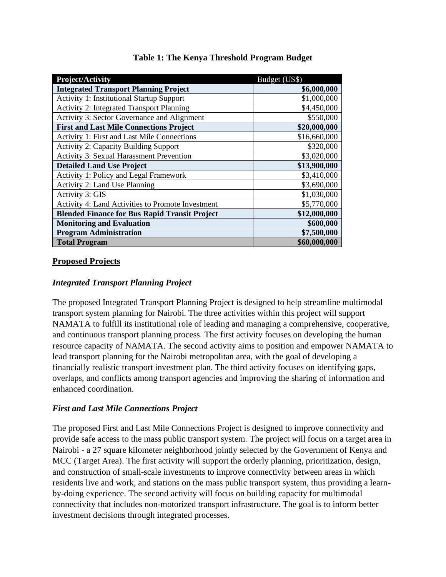| <b>Project/Activity</b>                              | Budget (US\$) |
|------------------------------------------------------|---------------|
| <b>Integrated Transport Planning Project</b>         | \$6,000,000   |
| <b>Activity 1: Institutional Startup Support</b>     | \$1,000,000   |
| <b>Activity 2: Integrated Transport Planning</b>     | \$4,450,000   |
| Activity 3: Sector Governance and Alignment          | \$550,000     |
| <b>First and Last Mile Connections Project</b>       | \$20,000,000  |
| Activity 1: First and Last Mile Connections          | \$16,660,000  |
| <b>Activity 2: Capacity Building Support</b>         | \$320,000     |
| <b>Activity 3: Sexual Harassment Prevention</b>      | \$3,020,000   |
| <b>Detailed Land Use Project</b>                     | \$13,900,000  |
| Activity 1: Policy and Legal Framework               | \$3,410,000   |
| Activity 2: Land Use Planning                        | \$3,690,000   |
| <b>Activity 3: GIS</b>                               | \$1,030,000   |
| Activity 4: Land Activities to Promote Investment    | \$5,770,000   |
| <b>Blended Finance for Bus Rapid Transit Project</b> | \$12,000,000  |
| <b>Monitoring and Evaluation</b>                     | \$600,000     |
| <b>Program Administration</b>                        | \$7,500,000   |
| <b>Total Program</b>                                 | \$60,000,000  |

# **Table 1: The Kenya Threshold Program Budget**

### **Proposed Projects**

#### *Integrated Transport Planning Project*

The proposed Integrated Transport Planning Project is designed to help streamline multimodal transport system planning for Nairobi. The three activities within this project will support NAMATA to fulfill its institutional role of leading and managing a comprehensive, cooperative, and continuous transport planning process. The first activity focuses on developing the human resource capacity of NAMATA. The second activity aims to position and empower NAMATA to lead transport planning for the Nairobi metropolitan area, with the goal of developing a financially realistic transport investment plan. The third activity focuses on identifying gaps, overlaps, and conflicts among transport agencies and improving the sharing of information and enhanced coordination.

### *First and Last Mile Connections Project*

The proposed First and Last Mile Connections Project is designed to improve connectivity and provide safe access to the mass public transport system. The project will focus on a target area in Nairobi - a 27 square kilometer neighborhood jointly selected by the Government of Kenya and MCC (Target Area). The first activity will support the orderly planning, prioritization, design, and construction of small-scale investments to improve connectivity between areas in which residents live and work, and stations on the mass public transport system, thus providing a learnby-doing experience. The second activity will focus on building capacity for multimodal connectivity that includes non-motorized transport infrastructure. The goal is to inform better investment decisions through integrated processes.